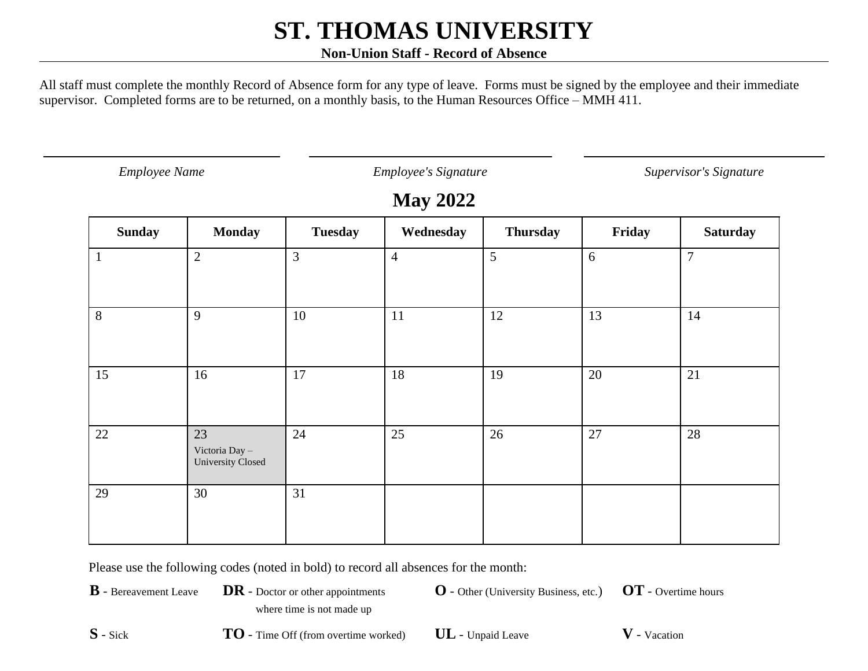#### **Non-Union Staff - Record of Absence**

All staff must complete the monthly Record of Absence form for any type of leave. Forms must be signed by the employee and their immediate supervisor. Completed forms are to be returned, on a monthly basis, to the Human Resources Office – MMH 411.

*Employee Name Employee's Signature Supervisor's Signature*

### **May 2022**

| <b>Sunday</b> | <b>Monday</b>                             | <b>Tuesday</b> | Wednesday      | <b>Thursday</b> | Friday | <b>Saturday</b> |
|---------------|-------------------------------------------|----------------|----------------|-----------------|--------|-----------------|
| $\mathbf{1}$  | $\overline{2}$                            | $\overline{3}$ | $\overline{4}$ | 5               | $6\,$  | $\overline{7}$  |
|               |                                           |                |                |                 |        |                 |
| 8             | 9                                         | 10             | 11             | 12              | 13     | 14              |
| 15            | 16                                        | 17             | 18             | 19              | 20     | 21              |
| 22            | 23<br>Victoria Day -<br>University Closed | 24             | 25             | 26              | 27     | 28              |
| 29            | 30                                        | 31             |                |                 |        |                 |

Please use the following codes (noted in bold) to record all absences for the month:

**B** - Bereavement Leave **DR** - Doctor or other appointments

**O** - Other (University Business, etc.) **OT** - Overtime hours

where time is not made up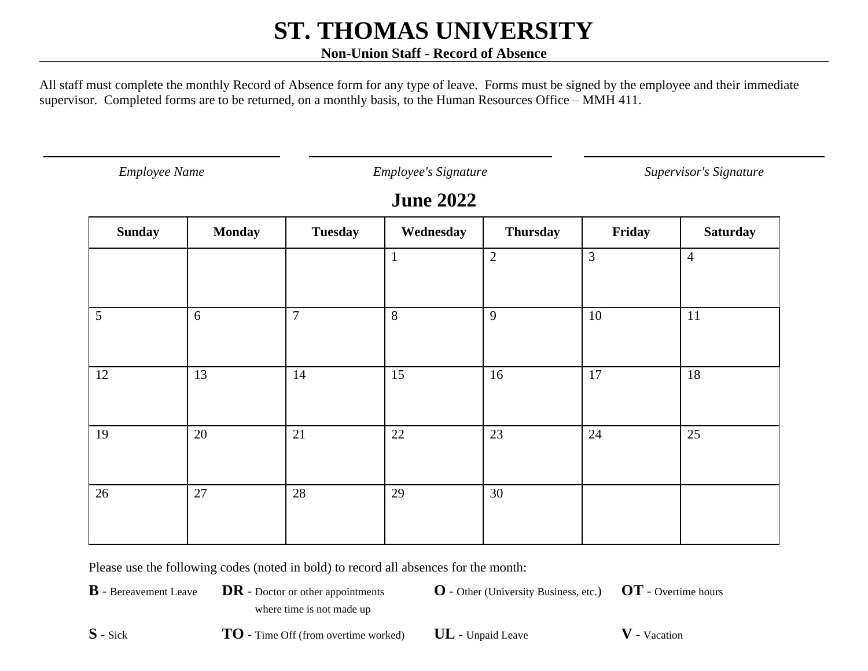#### **Non-Union Staff - Record of Absence**

All staff must complete the monthly Record of Absence form for any type of leave. Forms must be signed by the employee and their immediate supervisor. Completed forms are to be returned, on a monthly basis, to the Human Resources Office – MMH 411.

*Employee Name Employee's Signature Supervisor's Signature*

### **June 2022**

| <b>Sunday</b> | <b>Monday</b> | <b>Tuesday</b> | Wednesday    | <b>Thursday</b> | Friday | <b>Saturday</b> |
|---------------|---------------|----------------|--------------|-----------------|--------|-----------------|
|               |               |                | $\mathbf{1}$ | $\overline{2}$  | 3      | $\overline{4}$  |
|               |               |                |              |                 |        |                 |
| 5             | 6             | $\overline{7}$ | 8            | 9               | 10     | 11              |
|               |               |                |              |                 |        |                 |
| 12            | 13            | 14             | 15           | 16              | 17     | 18              |
|               |               |                |              |                 |        |                 |
| 19            | 20            | 21             | $22\,$       | 23              | 24     | $\overline{25}$ |
|               |               |                |              |                 |        |                 |
| 26            | 27            | 28             | 29           | 30              |        |                 |
|               |               |                |              |                 |        |                 |

Please use the following codes (noted in bold) to record all absences for the month:

**B** - Bereavement Leave **DR** - Doctor or other appointments where time is not made up

**O** - Other (University Business, etc.) **OT** - Overtime hours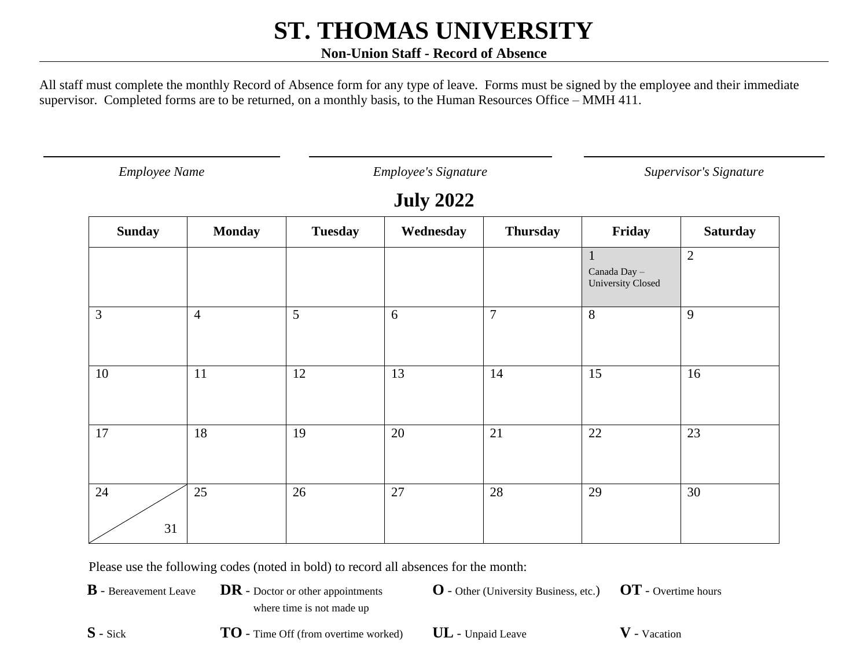#### **Non-Union Staff - Record of Absence**

All staff must complete the monthly Record of Absence form for any type of leave. Forms must be signed by the employee and their immediate supervisor. Completed forms are to be returned, on a monthly basis, to the Human Resources Office – MMH 411.

*Employee Name Employee's Signature Supervisor's Signature*

### **July 2022**

| <b>Sunday</b>  | <b>Monday</b>  | <b>Tuesday</b> | Wednesday | <b>Thursday</b> | Friday                                            | <b>Saturday</b> |
|----------------|----------------|----------------|-----------|-----------------|---------------------------------------------------|-----------------|
|                |                |                |           |                 | $\mathbf{1}$<br>Canada Day -<br>University Closed | $\overline{2}$  |
| $\overline{3}$ | $\overline{4}$ | 5              | 6         | $\overline{7}$  | 8                                                 | 9               |
| 10             | 11             | 12             | 13        | 14              | 15                                                | 16              |
| 17             | 18             | 19             | 20        | 21              | 22                                                | 23              |
| 24<br>31       | 25             | 26             | 27        | 28              | 29                                                | 30              |

Please use the following codes (noted in bold) to record all absences for the month:

**B** - Bereavement Leave **DR** - Doctor or other appointments where time is not made up

**O** - Other (University Business, etc.) **OT** - Overtime hours